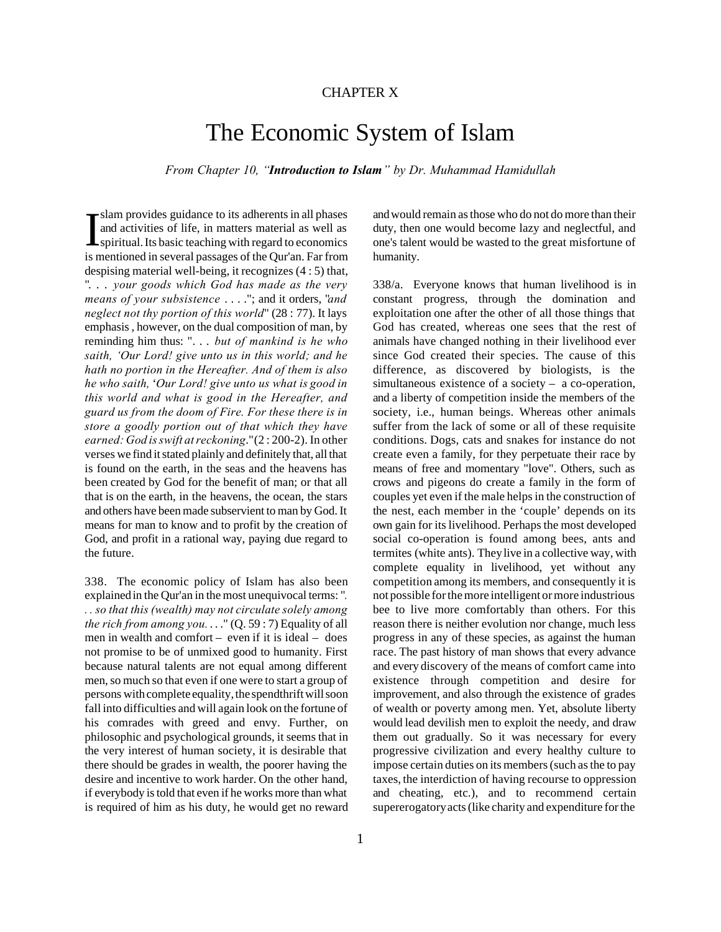## CHAPTER X

# The Economic System of Islam

*From Chapter 10, "Introduction to Islam" by Dr. Muhammad Hamidullah*

Slam provides guidance to its adherents in all phases<br>and activities of life, in matters material as well as<br>spiritual. Its basic teaching with regard to economics<br>is mentioned in several passages of the Qur'an. Far from slam provides guidance to its adherents in all phases and activities of life, in matters material as well as spiritual. Its basic teaching with regard to economics despising material well-being, it recognizes (4 : 5) that, ". . . *your goods which God has made as the very means of your subsistence* . . . ."; and it orders, "*and neglect not thy portion of this world*" (28 : 77). It lays emphasis , however, on the dual composition of man, by reminding him thus: ". . . *but of mankind is he who saith, 'Our Lord! give unto us in this world; and he hath no portion in the Hereafter. And of them is also he who saith,* '*Our Lord! give unto us what is good in this world and what is good in the Hereafter, and guard us from the doom of Fire. For these there is in store a goodly portion out of that which they have earned: God is swift at reckoning*." (2 : 200-2). In other verses we find it stated plainly and definitely that, all that is found on the earth, in the seas and the heavens has been created by God for the benefit of man; or that all that is on the earth, in the heavens, the ocean, the stars and others have been made subservient to man by God. It means for man to know and to profit by the creation of God, and profit in a rational way, paying due regard to the future.

338. The economic policy of Islam has also been explained in the Qur'an in the most unequivocal terms: "*. . . so that this (wealth) may not circulate solely among the rich from among you.* . . ." (Q. 59 : 7) Equality of all men in wealth and comfort – even if it is ideal – does not promise to be of unmixed good to humanity. First because natural talents are not equal among different men, so much so that even if one were to start a group of persons with complete equality, the spendthrift will soon fall into difficulties and will again look on the fortune of his comrades with greed and envy. Further, on philosophic and psychological grounds, it seems that in the very interest of human society, it is desirable that there should be grades in wealth, the poorer having the desire and incentive to work harder. On the other hand, if everybody is told that even if he works more than what is required of him as his duty, he would get no reward

and would remain as those who do not do more than their duty, then one would become lazy and neglectful, and one's talent would be wasted to the great misfortune of humanity.

338/a. Everyone knows that human livelihood is in constant progress, through the domination and exploitation one after the other of all those things that God has created, whereas one sees that the rest of animals have changed nothing in their livelihood ever since God created their species. The cause of this difference, as discovered by biologists, is the simultaneous existence of a society – a co-operation, and a liberty of competition inside the members of the society, i.e., human beings. Whereas other animals suffer from the lack of some or all of these requisite conditions. Dogs, cats and snakes for instance do not create even a family, for they perpetuate their race by means of free and momentary "love". Others, such as crows and pigeons do create a family in the form of couples yet even if the male helps in the construction of the nest, each member in the 'couple' depends on its own gain for its livelihood. Perhaps the most developed social co-operation is found among bees, ants and termites (white ants). They live in a collective way, with complete equality in livelihood, yet without any competition among its members, and consequently it is not possible for the more intelligent or more industrious bee to live more comfortably than others. For this reason there is neither evolution nor change, much less progress in any of these species, as against the human race. The past history of man shows that every advance and every discovery of the means of comfort came into existence through competition and desire for improvement, and also through the existence of grades of wealth or poverty among men. Yet, absolute liberty would lead devilish men to exploit the needy, and draw them out gradually. So it was necessary for every progressive civilization and every healthy culture to impose certain duties on its members (such as the to pay taxes, the interdiction of having recourse to oppression and cheating, etc.), and to recommend certain supererogatory acts (like charity and expenditure for the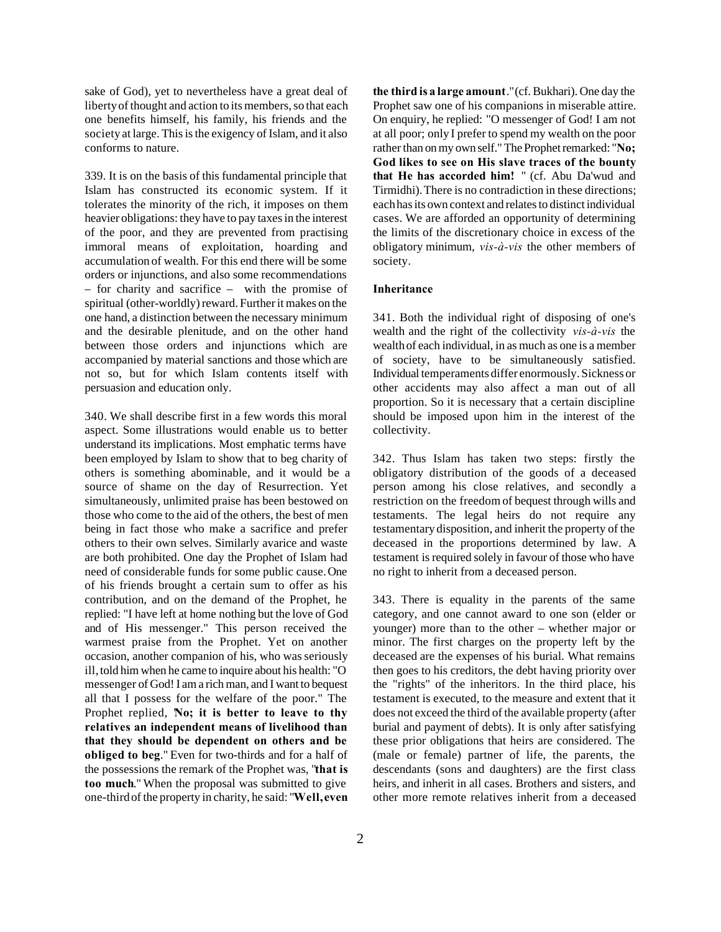sake of God), yet to nevertheless have a great deal of liberty of thought and action to its members, so that each one benefits himself, his family, his friends and the society at large. This is the exigency of Islam, and it also conforms to nature.

339. It is on the basis of this fundamental principle that Islam has constructed its economic system. If it tolerates the minority of the rich, it imposes on them heavier obligations: they have to pay taxes in the interest of the poor, and they are prevented from practising immoral means of exploitation, hoarding and accumulation of wealth. For this end there will be some orders or injunctions, and also some recommendations – for charity and sacrifice – with the promise of spiritual (other-worldly) reward. Further it makes on the one hand, a distinction between the necessary minimum and the desirable plenitude, and on the other hand between those orders and injunctions which are accompanied by material sanctions and those which are not so, but for which Islam contents itself with persuasion and education only.

340. We shall describe first in a few words this moral aspect. Some illustrations would enable us to better understand its implications. Most emphatic terms have been employed by Islam to show that to beg charity of others is something abominable, and it would be a source of shame on the day of Resurrection. Yet simultaneously, unlimited praise has been bestowed on those who come to the aid of the others, the best of men being in fact those who make a sacrifice and prefer others to their own selves. Similarly avarice and waste are both prohibited. One day the Prophet of Islam had need of considerable funds for some public cause. One of his friends brought a certain sum to offer as his contribution, and on the demand of the Prophet, he replied: "I have left at home nothing but the love of God and of His messenger." This person received the warmest praise from the Prophet. Yet on another occasion, another companion of his, who was seriously ill, told him when he came to inquire about his health: "O messenger of God! I am a rich man, and I want to bequest all that I possess for the welfare of the poor." The Prophet replied, **No; it is better to leave to thy relatives an independent means of livelihood than that they should be dependent on others and be obliged to beg**." Even for two-thirds and for a half of the possessions the remark of the Prophet was, "**that is too much**." When the proposal was submitted to give one-third of the property in charity, he said: "**Well, even**

**the third is a large amount**." (cf. Bukhari). One day the Prophet saw one of his companions in miserable attire. On enquiry, he replied: "O messenger of God! I am not at all poor; only I prefer to spend my wealth on the poor rather than on my own self." The Prophet remarked: "**No; God likes to see on His slave traces of the bounty that He has accorded him!** " (cf. Abu Da'wud and Tirmidhi). There is no contradiction in these directions; each has its own context and relates to distinct individual cases. We are afforded an opportunity of determining the limits of the discretionary choice in excess of the obligatory minimum, *vis-à-vis* the other members of society.

## **Inheritance**

341. Both the individual right of disposing of one's wealth and the right of the collectivity *vis-à-vis* the wealth of each individual, in as much as one is a member of society, have to be simultaneously satisfied. Individual temperaments differ enormously. Sickness or other accidents may also affect a man out of all proportion. So it is necessary that a certain discipline should be imposed upon him in the interest of the collectivity.

342. Thus Islam has taken two steps: firstly the obligatory distribution of the goods of a deceased person among his close relatives, and secondly a restriction on the freedom of bequest through wills and testaments. The legal heirs do not require any testamentary disposition, and inherit the property of the deceased in the proportions determined by law. A testament is required solely in favour of those who have no right to inherit from a deceased person.

343. There is equality in the parents of the same category, and one cannot award to one son (elder or younger) more than to the other – whether major or minor. The first charges on the property left by the deceased are the expenses of his burial. What remains then goes to his creditors, the debt having priority over the "rights" of the inheritors. In the third place, his testament is executed, to the measure and extent that it does not exceed the third of the available property (after burial and payment of debts). It is only after satisfying these prior obligations that heirs are considered. The (male or female) partner of life, the parents, the descendants (sons and daughters) are the first class heirs, and inherit in all cases. Brothers and sisters, and other more remote relatives inherit from a deceased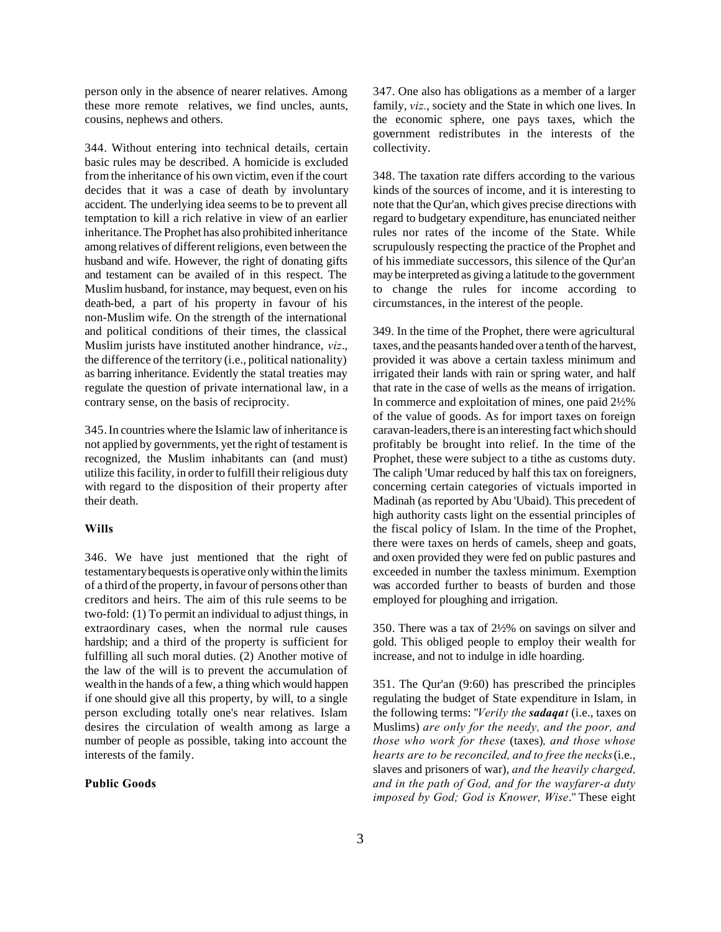person only in the absence of nearer relatives. Among these more remote relatives, we find uncles, aunts, cousins, nephews and others.

344. Without entering into technical details, certain basic rules may be described. A homicide is excluded from the inheritance of his own victim, even if the court decides that it was a case of death by involuntary accident. The underlying idea seems to be to prevent all temptation to kill a rich relative in view of an earlier inheritance. The Prophet has also prohibited inheritance among relatives of different religions, even between the husband and wife. However, the right of donating gifts and testament can be availed of in this respect. The Muslim husband, for instance, may bequest, even on his death-bed, a part of his property in favour of his non-Muslim wife. On the strength of the international and political conditions of their times, the classical Muslim jurists have instituted another hindrance, *viz*., the difference of the territory (i.e., political nationality) as barring inheritance. Evidently the statal treaties may regulate the question of private international law, in a contrary sense, on the basis of reciprocity.

345. In countries where the Islamic law of inheritance is not applied by governments, yet the right of testament is recognized, the Muslim inhabitants can (and must) utilize this facility, in order to fulfill their religious duty with regard to the disposition of their property after their death.

## **Wills**

346. We have just mentioned that the right of testamentary bequests is operative only within the limits of a third of the property, in favour of persons other than creditors and heirs. The aim of this rule seems to be two-fold: (1) To permit an individual to adjust things, in extraordinary cases, when the normal rule causes hardship; and a third of the property is sufficient for fulfilling all such moral duties. (2) Another motive of the law of the will is to prevent the accumulation of wealth in the hands of a few, a thing which would happen if one should give all this property, by will, to a single person excluding totally one's near relatives. Islam desires the circulation of wealth among as large a number of people as possible, taking into account the interests of the family.

## **Public Goods**

347. One also has obligations as a member of a larger family, *viz.*, society and the State in which one lives. In the economic sphere, one pays taxes, which the government redistributes in the interests of the collectivity.

348. The taxation rate differs according to the various kinds of the sources of income, and it is interesting to note that the Qur'an, which gives precise directions with regard to budgetary expenditure, has enunciated neither rules nor rates of the income of the State. While scrupulously respecting the practice of the Prophet and of his immediate successors, this silence of the Qur'an may be interpreted as giving a latitude to the government to change the rules for income according to circumstances, in the interest of the people.

349. In the time of the Prophet, there were agricultural taxes, and the peasants handed over a tenth of the harvest, provided it was above a certain taxless minimum and irrigated their lands with rain or spring water, and half that rate in the case of wells as the means of irrigation. In commerce and exploitation of mines, one paid 2½% of the value of goods. As for import taxes on foreign caravan-leaders, there is an interesting fact which should profitably be brought into relief. In the time of the Prophet, these were subject to a tithe as customs duty. The caliph 'Umar reduced by half this tax on foreigners, concerning certain categories of victuals imported in Madinah (as reported by Abu 'Ubaid). This precedent of high authority casts light on the essential principles of the fiscal policy of Islam. In the time of the Prophet, there were taxes on herds of camels, sheep and goats, and oxen provided they were fed on public pastures and exceeded in number the taxless minimum. Exemption was accorded further to beasts of burden and those employed for ploughing and irrigation.

350. There was a tax of 2½% on savings on silver and gold. This obliged people to employ their wealth for increase, and not to indulge in idle hoarding.

351. The Qur'an (9:60) has prescribed the principles regulating the budget of State expenditure in Islam, in the following terms: "*Verily the sadaqat* (i.e., taxes on Muslims) *are only for the needy, and the poor, and those who work for these* (taxes)*, and those whose hearts are to be reconciled, and to free the necks* (i.e., slaves and prisoners of war), *and the heavily charged, and in the path of God, and for the wayfarer-a duty imposed by God; God is Knower, Wise*." These eight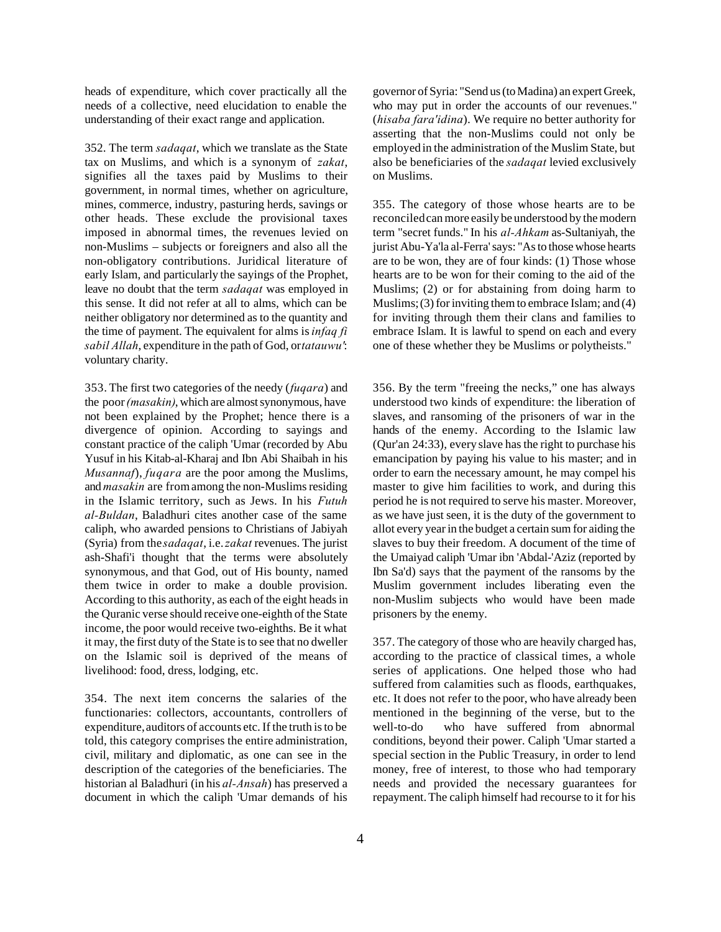heads of expenditure, which cover practically all the needs of a collective, need elucidation to enable the understanding of their exact range and application.

352. The term *sadaqat*, which we translate as the State tax on Muslims, and which is a synonym of *zakat*, signifies all the taxes paid by Muslims to their government, in normal times, whether on agriculture, mines, commerce, industry, pasturing herds, savings or other heads. These exclude the provisional taxes imposed in abnormal times, the revenues levied on non-Muslims – subjects or foreigners and also all the non-obligatory contributions. Juridical literature of early Islam, and particularly the sayings of the Prophet, leave no doubt that the term *sadaqat* was employed in this sense. It did not refer at all to alms, which can be neither obligatory nor determined as to the quantity and the time of payment. The equivalent for alms is *infaq fi sabil Allah*, expenditure in the path of God, or *tatauwu'*: voluntary charity.

353. The first two categories of the needy (*fuqara*) and the poor *(masakin)*, which are almost synonymous, have not been explained by the Prophet; hence there is a divergence of opinion. According to sayings and constant practice of the caliph 'Umar (recorded by Abu Yusuf in his Kitab-al-Kharaj and Ibn Abi Shaibah in his *Musannaf*), *fuqara* are the poor among the Muslims, and *masakin* are from among the non-Muslims residing in the Islamic territory, such as Jews. In his *Futuh al-Buldan*, Baladhuri cites another case of the same caliph, who awarded pensions to Christians of Jabiyah (Syria) from the *sadaqat*, i.e. *zakat* revenues. The jurist ash-Shafi'i thought that the terms were absolutely synonymous, and that God, out of His bounty, named them twice in order to make a double provision. According to this authority, as each of the eight heads in the Quranic verse should receive one-eighth of the State income, the poor would receive two-eighths. Be it what it may, the first duty of the State is to see that no dweller on the Islamic soil is deprived of the means of livelihood: food, dress, lodging, etc.

354. The next item concerns the salaries of the functionaries: collectors, accountants, controllers of expenditure, auditors of accounts etc. If the truth is to be told, this category comprises the entire administration, civil, military and diplomatic, as one can see in the description of the categories of the beneficiaries. The historian al Baladhuri (in his *al-Ansah*) has preserved a document in which the caliph 'Umar demands of his

governor of Syria: "Send us (to Madina) an expert Greek, who may put in order the accounts of our revenues." (*hisaba fara'idina*). We require no better authority for asserting that the non-Muslims could not only be employed in the administration of the Muslim State, but also be beneficiaries of the *sadaqat* levied exclusively on Muslims.

355. The category of those whose hearts are to be reconciled can more easily be understood by the modern term "secret funds." In his *al-Ahkam* as-Sultaniyah, the jurist Abu-Ya'la al-Ferra' says: "As to those whose hearts are to be won, they are of four kinds: (1) Those whose hearts are to be won for their coming to the aid of the Muslims; (2) or for abstaining from doing harm to Muslims; (3) for inviting them to embrace Islam; and (4) for inviting through them their clans and families to embrace Islam. It is lawful to spend on each and every one of these whether they be Muslims or polytheists."

356. By the term "freeing the necks," one has always understood two kinds of expenditure: the liberation of slaves, and ransoming of the prisoners of war in the hands of the enemy. According to the Islamic law (Qur'an 24:33), every slave has the right to purchase his emancipation by paying his value to his master; and in order to earn the necessary amount, he may compel his master to give him facilities to work, and during this period he is not required to serve his master. Moreover, as we have just seen, it is the duty of the government to allot every year in the budget a certain sum for aiding the slaves to buy their freedom. A document of the time of the Umaiyad caliph 'Umar ibn 'Abdal-'Aziz (reported by Ibn Sa'd) says that the payment of the ransoms by the Muslim government includes liberating even the non-Muslim subjects who would have been made prisoners by the enemy.

357. The category of those who are heavily charged has, according to the practice of classical times, a whole series of applications. One helped those who had suffered from calamities such as floods, earthquakes, etc. It does not refer to the poor, who have already been mentioned in the beginning of the verse, but to the well-to-do who have suffered from abnormal conditions, beyond their power. Caliph 'Umar started a special section in the Public Treasury, in order to lend money, free of interest, to those who had temporary needs and provided the necessary guarantees for repayment. The caliph himself had recourse to it for his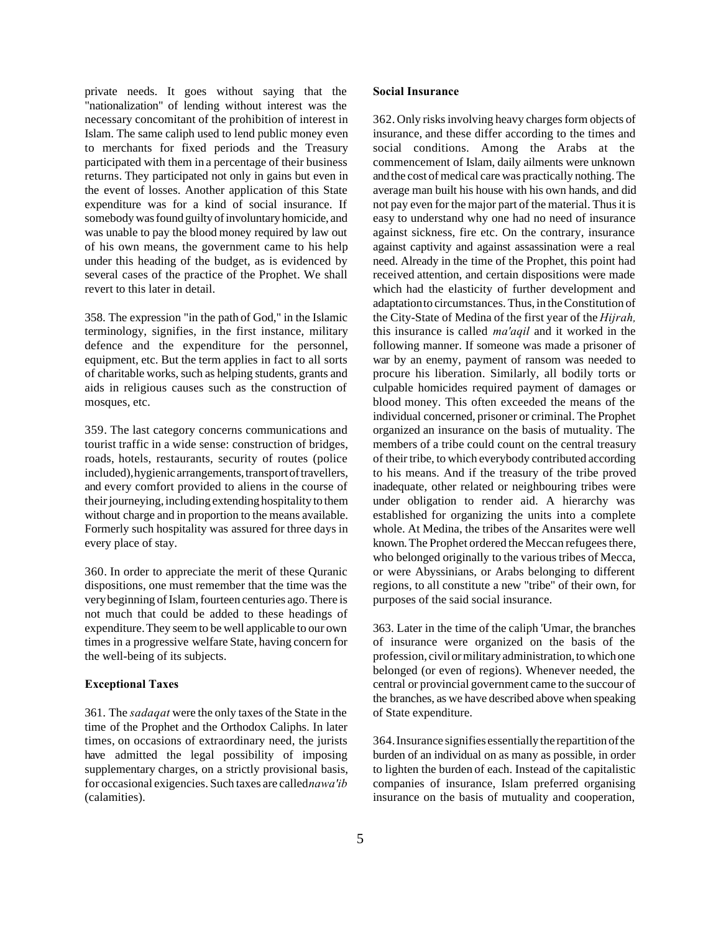private needs. It goes without saying that the "nationalization" of lending without interest was the necessary concomitant of the prohibition of interest in Islam. The same caliph used to lend public money even to merchants for fixed periods and the Treasury participated with them in a percentage of their business returns. They participated not only in gains but even in the event of losses. Another application of this State expenditure was for a kind of social insurance. If somebody was found guilty of involuntary homicide, and was unable to pay the blood money required by law out of his own means, the government came to his help under this heading of the budget, as is evidenced by several cases of the practice of the Prophet. We shall revert to this later in detail.

358. The expression "in the path of God," in the Islamic terminology, signifies, in the first instance, military defence and the expenditure for the personnel, equipment, etc. But the term applies in fact to all sorts of charitable works, such as helping students, grants and aids in religious causes such as the construction of mosques, etc.

359. The last category concerns communications and tourist traffic in a wide sense: construction of bridges, roads, hotels, restaurants, security of routes (police included), hygienic arrangements, transport of travellers, and every comfort provided to aliens in the course of their journeying, including extending hospitality to them without charge and in proportion to the means available. Formerly such hospitality was assured for three days in every place of stay.

360. In order to appreciate the merit of these Quranic dispositions, one must remember that the time was the very beginning of Islam, fourteen centuries ago. There is not much that could be added to these headings of expenditure. They seem to be well applicable to our own times in a progressive welfare State, having concern for the well-being of its subjects.

### **Exceptional Taxes**

361. The *sadaqat* were the only taxes of the State in the time of the Prophet and the Orthodox Caliphs. In later times, on occasions of extraordinary need, the jurists have admitted the legal possibility of imposing supplementary charges, on a strictly provisional basis, for occasional exigencies. Such taxes are called *nawa'ib* (calamities).

## **Social Insurance**

362. Only risks involving heavy charges form objects of insurance, and these differ according to the times and social conditions. Among the Arabs at the commencement of Islam, daily ailments were unknown and the cost of medical care was practically nothing. The average man built his house with his own hands, and did not pay even for the major part of the material. Thus it is easy to understand why one had no need of insurance against sickness, fire etc. On the contrary, insurance against captivity and against assassination were a real need. Already in the time of the Prophet, this point had received attention, and certain dispositions were made which had the elasticity of further development and adaptation to circumstances. Thus, in the Constitution of the City-State of Medina of the first year of the *Hijrah,* this insurance is called *ma'aqil* and it worked in the following manner. If someone was made a prisoner of war by an enemy, payment of ransom was needed to procure his liberation. Similarly, all bodily torts or culpable homicides required payment of damages or blood money. This often exceeded the means of the individual concerned, prisoner or criminal. The Prophet organized an insurance on the basis of mutuality. The members of a tribe could count on the central treasury of their tribe, to which everybody contributed according to his means. And if the treasury of the tribe proved inadequate, other related or neighbouring tribes were under obligation to render aid. A hierarchy was established for organizing the units into a complete whole. At Medina, the tribes of the Ansarites were well known. The Prophet ordered the Meccan refugees there, who belonged originally to the various tribes of Mecca, or were Abyssinians, or Arabs belonging to different regions, to all constitute a new "tribe" of their own, for purposes of the said social insurance.

363. Later in the time of the caliph 'Umar, the branches of insurance were organized on the basis of the profession, civil or military administration, to which one belonged (or even of regions). Whenever needed, the central or provincial government came to the succour of the branches, as we have described above when speaking of State expenditure.

364. Insurance signifies essentially the repartition of the burden of an individual on as many as possible, in order to lighten the burden of each. Instead of the capitalistic companies of insurance, Islam preferred organising insurance on the basis of mutuality and cooperation,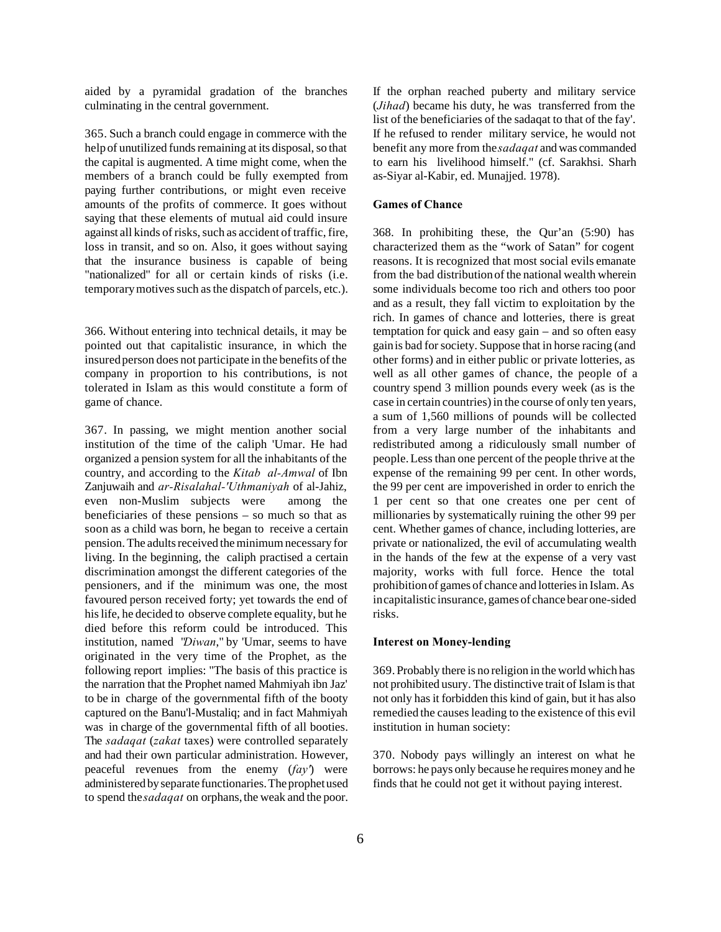aided by a pyramidal gradation of the branches culminating in the central government.

365. Such a branch could engage in commerce with the help of unutilized funds remaining at its disposal, so that the capital is augmented. A time might come, when the members of a branch could be fully exempted from paying further contributions, or might even receive amounts of the profits of commerce. It goes without saying that these elements of mutual aid could insure against all kinds of risks, such as accident of traffic, fire, loss in transit, and so on. Also, it goes without saying that the insurance business is capable of being "nationalized" for all or certain kinds of risks (i.e. temporary motives such as the dispatch of parcels, etc.).

366. Without entering into technical details, it may be pointed out that capitalistic insurance, in which the insured person does not participate in the benefits of the company in proportion to his contributions, is not tolerated in Islam as this would constitute a form of game of chance.

367. In passing, we might mention another social institution of the time of the caliph 'Umar. He had organized a pension system for all the inhabitants of the country, and according to the *Kitab al-Amwal* of Ibn Zanjuwaih and *ar-Risalahal-'Uthmaniyah* of al-Jahiz, even non-Muslim subjects were among the beneficiaries of these pensions – so much so that as soon as a child was born, he began to receive a certain pension. The adults received the minimum necessary for living. In the beginning, the caliph practised a certain discrimination amongst the different categories of the pensioners, and if the minimum was one, the most favoured person received forty; yet towards the end of his life, he decided to observe complete equality, but he died before this reform could be introduced. This institution, named "*Diwan*," by 'Umar, seems to have originated in the very time of the Prophet, as the following report implies: "The basis of this practice is the narration that the Prophet named Mahmiyah ibn Jaz' to be in charge of the governmental fifth of the booty captured on the Banu'l-Mustaliq; and in fact Mahmiyah was in charge of the governmental fifth of all booties. The *sadaqat* (*zakat* taxes) were controlled separately and had their own particular administration. However, peaceful revenues from the enemy (*fay'*) were administered by separate functionaries. The prophet used to spend the *sadaqat* on orphans, the weak and the poor.

If the orphan reached puberty and military service (*Jihad*) became his duty, he was transferred from the list of the beneficiaries of the sadaqat to that of the fay'. If he refused to render military service, he would not benefit any more from the *sadaqat* and was commanded to earn his livelihood himself." (cf. Sarakhsi. Sharh as-Siyar al-Kabir, ed. Munajjed. 1978).

#### **Games of Chance**

368. In prohibiting these, the Qur'an (5:90) has characterized them as the "work of Satan" for cogent reasons. It is recognized that most social evils emanate from the bad distribution of the national wealth wherein some individuals become too rich and others too poor and as a result, they fall victim to exploitation by the rich. In games of chance and lotteries, there is great temptation for quick and easy gain – and so often easy gain is bad for society. Suppose that in horse racing (and other forms) and in either public or private lotteries, as well as all other games of chance, the people of a country spend 3 million pounds every week (as is the case in certain countries) in the course of only ten years, a sum of 1,560 millions of pounds will be collected from a very large number of the inhabitants and redistributed among a ridiculously small number of people. Less than one percent of the people thrive at the expense of the remaining 99 per cent. In other words, the 99 per cent are impoverished in order to enrich the 1 per cent so that one creates one per cent of millionaries by systematically ruining the other 99 per cent. Whether games of chance, including lotteries, are private or nationalized, the evil of accumulating wealth in the hands of the few at the expense of a very vast majority, works with full force. Hence the total prohibition of games of chance and lotteries in Islam. As in capitalistic insurance, games of chance bear one-sided risks.

#### **Interest on Money-lending**

369. Probably there is no religion in the world which has not prohibited usury. The distinctive trait of Islam is that not only has it forbidden this kind of gain, but it has also remedied the causes leading to the existence of this evil institution in human society:

370. Nobody pays willingly an interest on what he borrows: he pays only because he requires money and he finds that he could not get it without paying interest.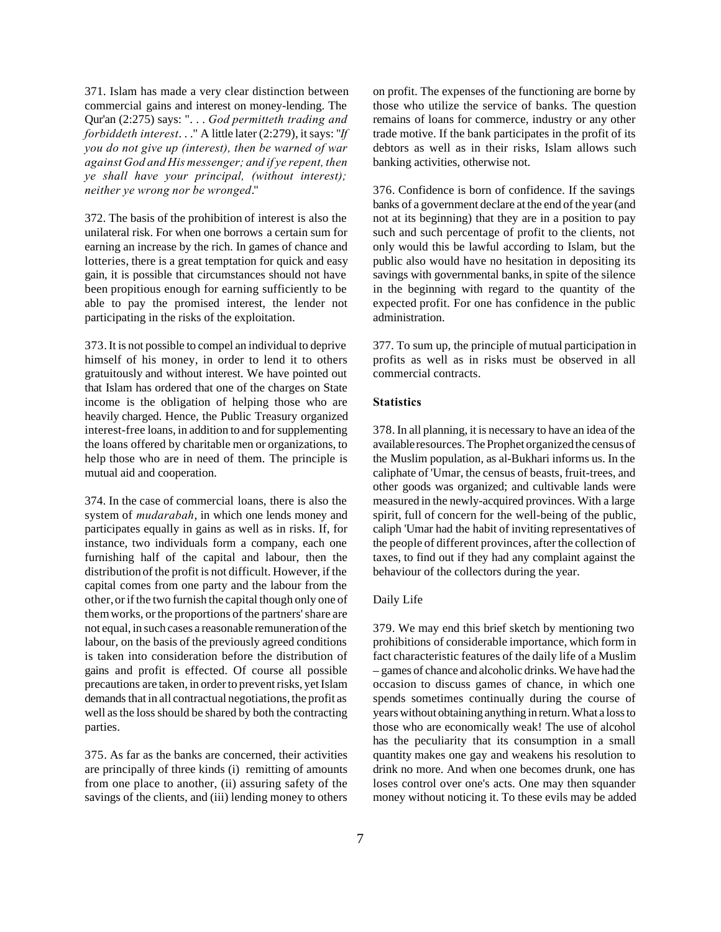371. Islam has made a very clear distinction between commercial gains and interest on money-lending. The Qur'an (2:275) says: ". . . *God permitteth trading and forbiddeth interest*. . ." A little later (2:279), it says: "*If you do not give up (interest), then be warned of war against God and His messenger; and if ye repent, then ye shall have your principal, (without interest); neither ye wrong nor be wronged*."

372. The basis of the prohibition of interest is also the unilateral risk. For when one borrows a certain sum for earning an increase by the rich. In games of chance and lotteries, there is a great temptation for quick and easy gain, it is possible that circumstances should not have been propitious enough for earning sufficiently to be able to pay the promised interest, the lender not participating in the risks of the exploitation.

373. It is not possible to compel an individual to deprive himself of his money, in order to lend it to others gratuitously and without interest. We have pointed out that Islam has ordered that one of the charges on State income is the obligation of helping those who are heavily charged. Hence, the Public Treasury organized interest-free loans, in addition to and for supplementing the loans offered by charitable men or organizations, to help those who are in need of them. The principle is mutual aid and cooperation.

374. In the case of commercial loans, there is also the system of *mudarabah*, in which one lends money and participates equally in gains as well as in risks. If, for instance, two individuals form a company, each one furnishing half of the capital and labour, then the distribution of the profit is not difficult. However, if the capital comes from one party and the labour from the other, or if the two furnish the capital though only one of them works, or the proportions of the partners' share are not equal, in such cases a reasonable remuneration of the labour, on the basis of the previously agreed conditions is taken into consideration before the distribution of gains and profit is effected. Of course all possible precautions are taken, in order to prevent risks, yet Islam demands that in all contractual negotiations, the profit as well as the loss should be shared by both the contracting parties.

375. As far as the banks are concerned, their activities are principally of three kinds (i) remitting of amounts from one place to another, (ii) assuring safety of the savings of the clients, and (iii) lending money to others on profit. The expenses of the functioning are borne by those who utilize the service of banks. The question remains of loans for commerce, industry or any other trade motive. If the bank participates in the profit of its debtors as well as in their risks, Islam allows such banking activities, otherwise not.

376. Confidence is born of confidence. If the savings banks of a government declare at the end of the year (and not at its beginning) that they are in a position to pay such and such percentage of profit to the clients, not only would this be lawful according to Islam, but the public also would have no hesitation in depositing its savings with governmental banks, in spite of the silence in the beginning with regard to the quantity of the expected profit. For one has confidence in the public administration.

377. To sum up, the principle of mutual participation in profits as well as in risks must be observed in all commercial contracts.

## **Statistics**

378. In all planning, it is necessary to have an idea of the available resources. The Prophet organized the census of the Muslim population, as al-Bukhari informs us. In the caliphate of 'Umar, the census of beasts, fruit-trees, and other goods was organized; and cultivable lands were measured in the newly-acquired provinces. With a large spirit, full of concern for the well-being of the public, caliph 'Umar had the habit of inviting representatives of the people of different provinces, after the collection of taxes, to find out if they had any complaint against the behaviour of the collectors during the year.

## Daily Life

379. We may end this brief sketch by mentioning two prohibitions of considerable importance, which form in fact characteristic features of the daily life of a Muslim – games of chance and alcoholic drinks. We have had the occasion to discuss games of chance, in which one spends sometimes continually during the course of years without obtaining anything in return. What a loss to those who are economically weak! The use of alcohol has the peculiarity that its consumption in a small quantity makes one gay and weakens his resolution to drink no more. And when one becomes drunk, one has loses control over one's acts. One may then squander money without noticing it. To these evils may be added